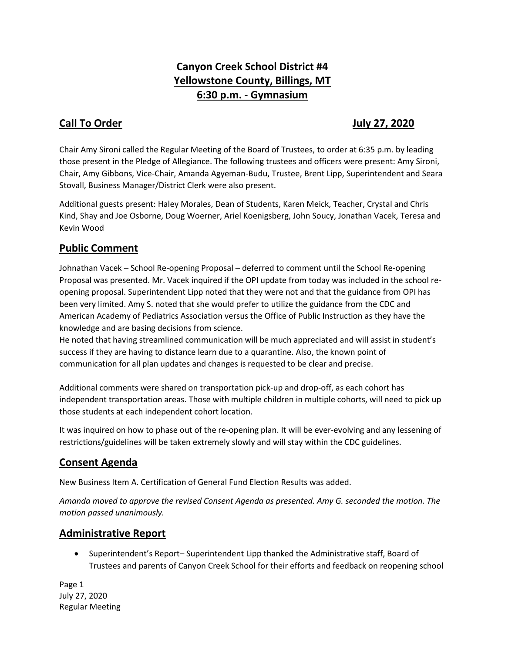# **Canyon Creek School District #4 Yellowstone County, Billings, MT 6:30 p.m. - Gymnasium**

## **Call To Order Gall To Order According to the United States of the United States According to According the United States According to According the United States According to According the United States According to Accor**

Chair Amy Sironi called the Regular Meeting of the Board of Trustees, to order at 6:35 p.m. by leading those present in the Pledge of Allegiance. The following trustees and officers were present: Amy Sironi, Chair, Amy Gibbons, Vice-Chair, Amanda Agyeman-Budu, Trustee, Brent Lipp, Superintendent and Seara Stovall, Business Manager/District Clerk were also present.

Additional guests present: Haley Morales, Dean of Students, Karen Meick, Teacher, Crystal and Chris Kind, Shay and Joe Osborne, Doug Woerner, Ariel Koenigsberg, John Soucy, Jonathan Vacek, Teresa and Kevin Wood

## **Public Comment**

Johnathan Vacek – School Re-opening Proposal – deferred to comment until the School Re-opening Proposal was presented. Mr. Vacek inquired if the OPI update from today was included in the school reopening proposal. Superintendent Lipp noted that they were not and that the guidance from OPI has been very limited. Amy S. noted that she would prefer to utilize the guidance from the CDC and American Academy of Pediatrics Association versus the Office of Public Instruction as they have the knowledge and are basing decisions from science.

He noted that having streamlined communication will be much appreciated and will assist in student's success if they are having to distance learn due to a quarantine. Also, the known point of communication for all plan updates and changes is requested to be clear and precise.

Additional comments were shared on transportation pick-up and drop-off, as each cohort has independent transportation areas. Those with multiple children in multiple cohorts, will need to pick up those students at each independent cohort location.

It was inquired on how to phase out of the re-opening plan. It will be ever-evolving and any lessening of restrictions/guidelines will be taken extremely slowly and will stay within the CDC guidelines.

## **Consent Agenda**

New Business Item A. Certification of General Fund Election Results was added.

*Amanda moved to approve the revised Consent Agenda as presented. Amy G. seconded the motion. The motion passed unanimously.* 

## **Administrative Report**

 Superintendent's Report– Superintendent Lipp thanked the Administrative staff, Board of Trustees and parents of Canyon Creek School for their efforts and feedback on reopening school

Page 1 July 27, 2020 Regular Meeting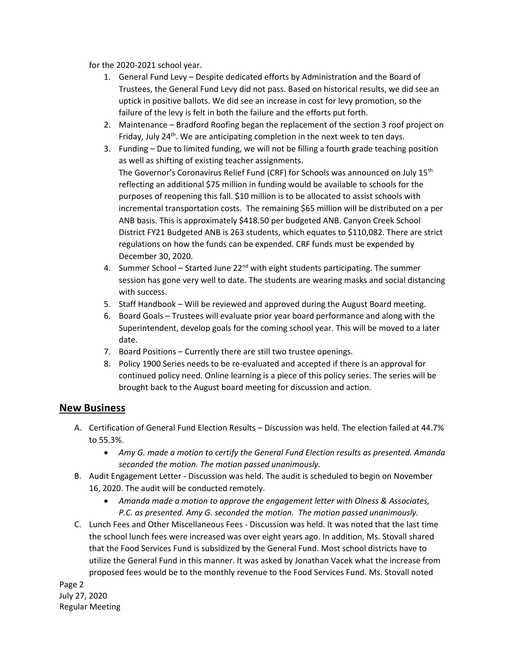for the 2020-2021 school year.

- 1. General Fund Levy Despite dedicated efforts by Administration and the Board of Trustees, the General Fund Levy did not pass. Based on historical results, we did see an uptick in positive ballots. We did see an increase in cost for levy promotion, so the failure of the levy is felt in both the failure and the efforts put forth.
- 2. Maintenance Bradford Roofing began the replacement of the section 3 roof project on Friday, July 24<sup>th</sup>. We are anticipating completion in the next week to ten days.
- 3. Funding Due to limited funding, we will not be filling a fourth grade teaching position as well as shifting of existing teacher assignments. The Governor's Coronavirus Relief Fund (CRF) for Schools was announced on July 15<sup>th</sup> reflecting an additional \$75 million in funding would be available to schools for the purposes of reopening this fall. \$10 million is to be allocated to assist schools with incremental transportation costs. The remaining \$65 million will be distributed on a per ANB basis. This is approximately \$418.50 per budgeted ANB. Canyon Creek School District FY21 Budgeted ANB is 263 students, which equates to \$110,082. There are strict regulations on how the funds can be expended. CRF funds must be expended by December 30, 2020.
- 4. Summer School Started June  $22<sup>nd</sup>$  with eight students participating. The summer session has gone very well to date. The students are wearing masks and social distancing with success.
- 5. Staff Handbook Will be reviewed and approved during the August Board meeting.
- 6. Board Goals Trustees will evaluate prior year board performance and along with the Superintendent, develop goals for the coming school year. This will be moved to a later date.
- 7. Board Positions Currently there are still two trustee openings.
- 8. Policy 1900 Series needs to be re-evaluated and accepted if there is an approval for continued policy need. Online learning is a piece of this policy series. The series will be brought back to the August board meeting for discussion and action.

#### **New Business**

- A. Certification of General Fund Election Results Discussion was held. The election failed at 44.7% to 55.3%.
	- *Amy G. made a motion to certify the General Fund Election results as presented. Amanda seconded the motion. The motion passed unanimously.*
- B. Audit Engagement Letter Discussion was held. The audit is scheduled to begin on November 16, 2020. The audit will be conducted remotely.
	- *Amanda made a motion to approve the engagement letter with Olness & Associates, P.C. as presented. Amy G. seconded the motion. The motion passed unanimously.*
- C. Lunch Fees and Other Miscellaneous Fees Discussion was held. It was noted that the last time the school lunch fees were increased was over eight years ago. In addition, Ms. Stovall shared that the Food Services Fund is subsidized by the General Fund. Most school districts have to utilize the General Fund in this manner. It was asked by Jonathan Vacek what the increase from proposed fees would be to the monthly revenue to the Food Services Fund. Ms. Stovall noted

Page 2 July 27, 2020 Regular Meeting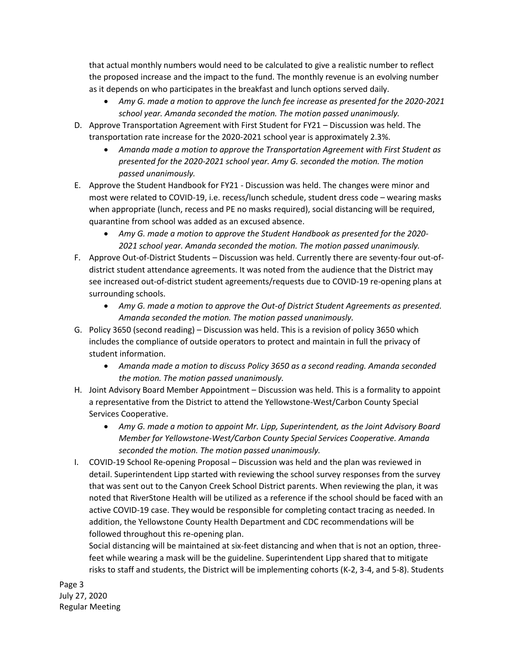that actual monthly numbers would need to be calculated to give a realistic number to reflect the proposed increase and the impact to the fund. The monthly revenue is an evolving number as it depends on who participates in the breakfast and lunch options served daily.

- *Amy G. made a motion to approve the lunch fee increase as presented for the 2020-2021 school year. Amanda seconded the motion. The motion passed unanimously.*
- D. Approve Transportation Agreement with First Student for FY21 Discussion was held. The transportation rate increase for the 2020-2021 school year is approximately 2.3%.
	- *Amanda made a motion to approve the Transportation Agreement with First Student as presented for the 2020-2021 school year. Amy G. seconded the motion. The motion passed unanimously.*
- E. Approve the Student Handbook for FY21 Discussion was held. The changes were minor and most were related to COVID-19, i.e. recess/lunch schedule, student dress code – wearing masks when appropriate (lunch, recess and PE no masks required), social distancing will be required, quarantine from school was added as an excused absence.
	- *Amy G. made a motion to approve the Student Handbook as presented for the 2020- 2021 school year. Amanda seconded the motion. The motion passed unanimously.*
- F. Approve Out-of-District Students Discussion was held. Currently there are seventy-four out-ofdistrict student attendance agreements. It was noted from the audience that the District may see increased out-of-district student agreements/requests due to COVID-19 re-opening plans at surrounding schools.
	- *Amy G. made a motion to approve the Out-of District Student Agreements as presented. Amanda seconded the motion. The motion passed unanimously.*
- G. Policy 3650 (second reading) Discussion was held. This is a revision of policy 3650 which includes the compliance of outside operators to protect and maintain in full the privacy of student information.
	- *Amanda made a motion to discuss Policy 3650 as a second reading. Amanda seconded the motion. The motion passed unanimously.*
- H. Joint Advisory Board Member Appointment Discussion was held. This is a formality to appoint a representative from the District to attend the Yellowstone-West/Carbon County Special Services Cooperative.
	- *Amy G. made a motion to appoint Mr. Lipp, Superintendent, as the Joint Advisory Board Member for Yellowstone-West/Carbon County Special Services Cooperative. Amanda seconded the motion. The motion passed unanimously.*
- I. COVID-19 School Re-opening Proposal Discussion was held and the plan was reviewed in detail. Superintendent Lipp started with reviewing the school survey responses from the survey that was sent out to the Canyon Creek School District parents. When reviewing the plan, it was noted that RiverStone Health will be utilized as a reference if the school should be faced with an active COVID-19 case. They would be responsible for completing contact tracing as needed. In addition, the Yellowstone County Health Department and CDC recommendations will be followed throughout this re-opening plan.

Social distancing will be maintained at six-feet distancing and when that is not an option, threefeet while wearing a mask will be the guideline. Superintendent Lipp shared that to mitigate risks to staff and students, the District will be implementing cohorts (K-2, 3-4, and 5-8). Students

Page 3 July 27, 2020 Regular Meeting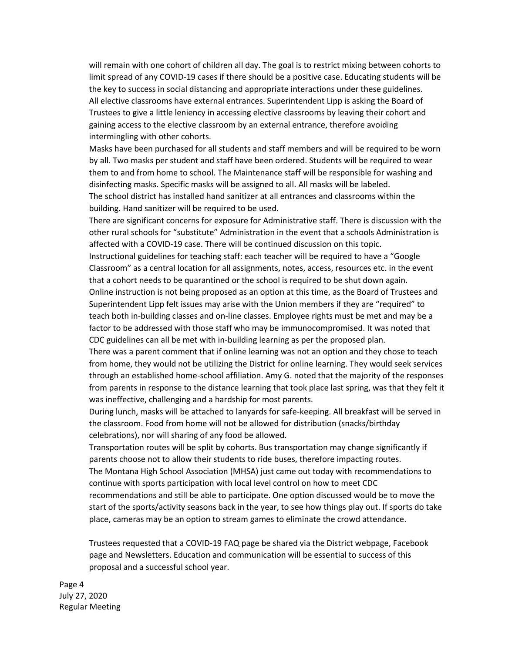will remain with one cohort of children all day. The goal is to restrict mixing between cohorts to limit spread of any COVID-19 cases if there should be a positive case. Educating students will be the key to success in social distancing and appropriate interactions under these guidelines. All elective classrooms have external entrances. Superintendent Lipp is asking the Board of Trustees to give a little leniency in accessing elective classrooms by leaving their cohort and gaining access to the elective classroom by an external entrance, therefore avoiding intermingling with other cohorts.

Masks have been purchased for all students and staff members and will be required to be worn by all. Two masks per student and staff have been ordered. Students will be required to wear them to and from home to school. The Maintenance staff will be responsible for washing and disinfecting masks. Specific masks will be assigned to all. All masks will be labeled. The school district has installed hand sanitizer at all entrances and classrooms within the

building. Hand sanitizer will be required to be used.

There are significant concerns for exposure for Administrative staff. There is discussion with the other rural schools for "substitute" Administration in the event that a schools Administration is affected with a COVID-19 case. There will be continued discussion on this topic.

Instructional guidelines for teaching staff: each teacher will be required to have a "Google Classroom" as a central location for all assignments, notes, access, resources etc. in the event that a cohort needs to be quarantined or the school is required to be shut down again. Online instruction is not being proposed as an option at this time, as the Board of Trustees and Superintendent Lipp felt issues may arise with the Union members if they are "required" to teach both in-building classes and on-line classes. Employee rights must be met and may be a factor to be addressed with those staff who may be immunocompromised. It was noted that

CDC guidelines can all be met with in-building learning as per the proposed plan.

There was a parent comment that if online learning was not an option and they chose to teach from home, they would not be utilizing the District for online learning. They would seek services through an established home-school affiliation. Amy G. noted that the majority of the responses from parents in response to the distance learning that took place last spring, was that they felt it was ineffective, challenging and a hardship for most parents.

During lunch, masks will be attached to lanyards for safe-keeping. All breakfast will be served in the classroom. Food from home will not be allowed for distribution (snacks/birthday celebrations), nor will sharing of any food be allowed.

Transportation routes will be split by cohorts. Bus transportation may change significantly if parents choose not to allow their students to ride buses, therefore impacting routes.

The Montana High School Association (MHSA) just came out today with recommendations to continue with sports participation with local level control on how to meet CDC

recommendations and still be able to participate. One option discussed would be to move the start of the sports/activity seasons back in the year, to see how things play out. If sports do take place, cameras may be an option to stream games to eliminate the crowd attendance.

Trustees requested that a COVID-19 FAQ page be shared via the District webpage, Facebook page and Newsletters. Education and communication will be essential to success of this proposal and a successful school year.

Page 4 July 27, 2020 Regular Meeting